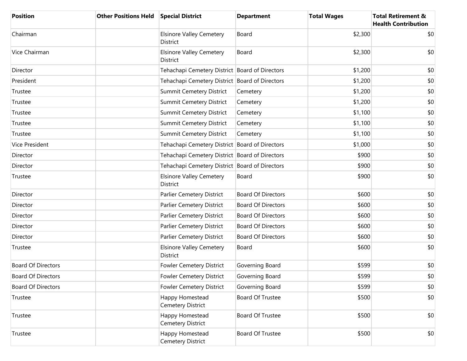| <b>Position</b>           | <b>Other Positions Held</b> | <b>Special District</b>                            | <b>Department</b>         | <b>Total Wages</b> | <b>Total Retirement &amp;</b><br><b>Health Contribution</b> |
|---------------------------|-----------------------------|----------------------------------------------------|---------------------------|--------------------|-------------------------------------------------------------|
| Chairman                  |                             | <b>Elsinore Valley Cemetery</b><br><b>District</b> | Board                     | \$2,300            | \$0                                                         |
| Vice Chairman             |                             | <b>Elsinore Valley Cemetery</b><br>District        | Board                     | \$2,300            | \$0                                                         |
| Director                  |                             | Tehachapi Cemetery District Board of Directors     |                           | \$1,200            | \$0                                                         |
| President                 |                             | Tehachapi Cemetery District Board of Directors     |                           | \$1,200            | \$0                                                         |
| Trustee                   |                             | <b>Summit Cemetery District</b>                    | Cemetery                  | \$1,200            | \$0                                                         |
| Trustee                   |                             | Summit Cemetery District                           | Cemetery                  | \$1,200            | \$0                                                         |
| Trustee                   |                             | <b>Summit Cemetery District</b>                    | Cemetery                  | \$1,100            | \$0                                                         |
| Trustee                   |                             | <b>Summit Cemetery District</b>                    | Cemetery                  | \$1,100            | \$0                                                         |
| Trustee                   |                             | <b>Summit Cemetery District</b>                    | Cemetery                  | \$1,100            | \$0                                                         |
| Vice President            |                             | Tehachapi Cemetery District Board of Directors     |                           | \$1,000            | \$0                                                         |
| Director                  |                             | Tehachapi Cemetery District Board of Directors     |                           | \$900              | \$0                                                         |
| Director                  |                             | Tehachapi Cemetery District Board of Directors     |                           | \$900              | \$0                                                         |
| Trustee                   |                             | <b>Elsinore Valley Cemetery</b><br>District        | Board                     | \$900              | \$0                                                         |
| Director                  |                             | Parlier Cemetery District                          | <b>Board Of Directors</b> | \$600              | \$0                                                         |
| Director                  |                             | Parlier Cemetery District                          | <b>Board Of Directors</b> | \$600              | \$0                                                         |
| Director                  |                             | Parlier Cemetery District                          | <b>Board Of Directors</b> | \$600              | \$0                                                         |
| Director                  |                             | Parlier Cemetery District                          | <b>Board Of Directors</b> | \$600              | \$0                                                         |
| Director                  |                             | Parlier Cemetery District                          | <b>Board Of Directors</b> | \$600              | \$0                                                         |
| Trustee                   |                             | <b>Elsinore Valley Cemetery</b><br><b>District</b> | Board                     | \$600              | \$0                                                         |
| <b>Board Of Directors</b> |                             | <b>Fowler Cemetery District</b>                    | Governing Board           | \$599              | \$0                                                         |
| <b>Board Of Directors</b> |                             | <b>Fowler Cemetery District</b>                    | Governing Board           | \$599              | \$0                                                         |
| <b>Board Of Directors</b> |                             | Fowler Cemetery District                           | Governing Board           | \$599              | \$0                                                         |
| Trustee                   |                             | Happy Homestead<br>Cemetery District               | Board Of Trustee          | \$500              | \$0                                                         |
| Trustee                   |                             | Happy Homestead<br>Cemetery District               | <b>Board Of Trustee</b>   | \$500              | \$0                                                         |
| Trustee                   |                             | Happy Homestead<br>Cemetery District               | Board Of Trustee          | \$500              | \$0                                                         |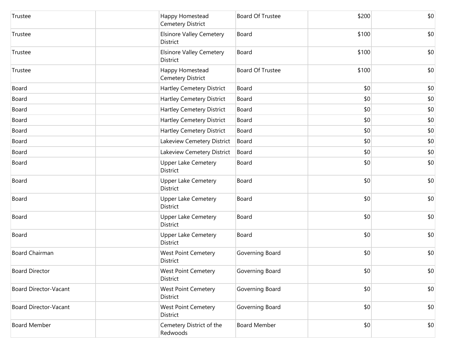| Trustee               | Happy Homestead<br>Cemetery District               | <b>Board Of Trustee</b> | \$200 | \$0 |
|-----------------------|----------------------------------------------------|-------------------------|-------|-----|
| Trustee               | <b>Elsinore Valley Cemetery</b><br><b>District</b> | Board                   | \$100 | \$0 |
| Trustee               | <b>Elsinore Valley Cemetery</b><br>District        | Board                   | \$100 | \$0 |
| Trustee               | Happy Homestead<br><b>Cemetery District</b>        | <b>Board Of Trustee</b> | \$100 | \$0 |
| Board                 | <b>Hartley Cemetery District</b>                   | Board                   | \$0   | \$0 |
| Board                 | Hartley Cemetery District                          | Board                   | \$0   | \$0 |
| Board                 | Hartley Cemetery District                          | Board                   | \$0   | \$0 |
| Board                 | Hartley Cemetery District                          | Board                   | \$0   | \$0 |
| Board                 | Hartley Cemetery District                          | Board                   | \$0   | \$0 |
| Board                 | Lakeview Cemetery District                         | Board                   | \$0   | \$0 |
| Board                 | Lakeview Cemetery District                         | Board                   | \$0   | \$0 |
| Board                 | <b>Upper Lake Cemetery</b><br>District             | Board                   | \$0   | \$0 |
| Board                 | Upper Lake Cemetery<br>District                    | Board                   | \$0   | \$0 |
| Board                 | <b>Upper Lake Cemetery</b><br>District             | Board                   | \$0   | \$0 |
| Board                 | <b>Upper Lake Cemetery</b><br>District             | Board                   | \$0   | \$0 |
| Board                 | <b>Upper Lake Cemetery</b><br>District             | Board                   | \$0   | \$0 |
| Board Chairman        | <b>West Point Cemetery</b><br><b>District</b>      | Governing Board         | \$0   | \$0 |
| <b>Board Director</b> | <b>West Point Cemetery</b><br>District             | Governing Board         | \$0   | \$0 |
| Board Director-Vacant | <b>West Point Cemetery</b><br>District             | Governing Board         | \$0   | \$0 |
| Board Director-Vacant | <b>West Point Cemetery</b><br>District             | Governing Board         | \$0   | \$0 |
| <b>Board Member</b>   | Cemetery District of the<br>Redwoods               | <b>Board Member</b>     | \$0   | \$0 |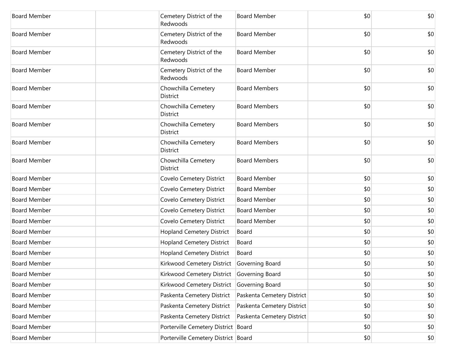| <b>Board Member</b> | Cemetery District of the<br>Redwoods       | <b>Board Member</b>        | \$0 | \$0 |
|---------------------|--------------------------------------------|----------------------------|-----|-----|
| <b>Board Member</b> | Cemetery District of the<br>Redwoods       | <b>Board Member</b>        | \$0 | \$0 |
| <b>Board Member</b> | Cemetery District of the<br>Redwoods       | <b>Board Member</b>        | \$0 | \$0 |
| <b>Board Member</b> | Cemetery District of the<br>Redwoods       | <b>Board Member</b>        | \$0 | \$0 |
| <b>Board Member</b> | Chowchilla Cemetery<br><b>District</b>     | <b>Board Members</b>       | \$0 | \$0 |
| <b>Board Member</b> | Chowchilla Cemetery<br>District            | <b>Board Members</b>       | \$0 | \$0 |
| <b>Board Member</b> | Chowchilla Cemetery<br><b>District</b>     | <b>Board Members</b>       | \$0 | \$0 |
| <b>Board Member</b> | Chowchilla Cemetery<br>District            | <b>Board Members</b>       | \$0 | \$0 |
| <b>Board Member</b> | Chowchilla Cemetery<br>District            | <b>Board Members</b>       | \$0 | \$0 |
| <b>Board Member</b> | Covelo Cemetery District                   | <b>Board Member</b>        | \$0 | \$0 |
| <b>Board Member</b> | Covelo Cemetery District                   | <b>Board Member</b>        | \$0 | \$0 |
| <b>Board Member</b> | Covelo Cemetery District                   | <b>Board Member</b>        | \$0 | \$0 |
| <b>Board Member</b> | Covelo Cemetery District                   | <b>Board Member</b>        | \$0 | \$0 |
| <b>Board Member</b> | Covelo Cemetery District                   | <b>Board Member</b>        | \$0 | \$0 |
| <b>Board Member</b> | <b>Hopland Cemetery District</b>           | Board                      | \$0 | \$0 |
| <b>Board Member</b> | <b>Hopland Cemetery District</b>           | Board                      | \$0 | \$0 |
| <b>Board Member</b> | <b>Hopland Cemetery District</b>           | Board                      | \$0 | \$0 |
| <b>Board Member</b> | Kirkwood Cemetery District                 | Governing Board            | \$0 | \$0 |
| Board Member        | Kirkwood Cemetery District Governing Board |                            | \$0 | \$0 |
| <b>Board Member</b> | Kirkwood Cemetery District Governing Board |                            | \$0 | \$0 |
| <b>Board Member</b> | Paskenta Cemetery District                 | Paskenta Cemetery District | \$0 | \$0 |
| <b>Board Member</b> | Paskenta Cemetery District                 | Paskenta Cemetery District | \$0 | \$0 |
| <b>Board Member</b> | Paskenta Cemetery District                 | Paskenta Cemetery District | \$0 | \$0 |
| <b>Board Member</b> | Porterville Cemetery District Board        |                            | \$0 | \$0 |
| <b>Board Member</b> | Porterville Cemetery District Board        |                            | \$0 | \$0 |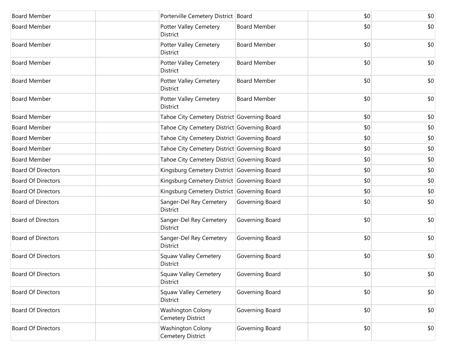| <b>Board Member</b>       | Porterville Cemetery District Board           |                     | \$0 | \$0 |
|---------------------------|-----------------------------------------------|---------------------|-----|-----|
| <b>Board Member</b>       | Potter Valley Cemetery<br>District            | <b>Board Member</b> | \$0 | \$0 |
| <b>Board Member</b>       | Potter Valley Cemetery<br>District            | <b>Board Member</b> | \$0 | \$0 |
| <b>Board Member</b>       | Potter Valley Cemetery<br>District            | <b>Board Member</b> | \$0 | \$0 |
| <b>Board Member</b>       | Potter Valley Cemetery<br>District            | <b>Board Member</b> | \$0 | \$0 |
| <b>Board Member</b>       | Potter Valley Cemetery<br>District            | <b>Board Member</b> | \$0 | \$0 |
| <b>Board Member</b>       | Tahoe City Cemetery District Governing Board  |                     | \$0 | \$0 |
| <b>Board Member</b>       | Tahoe City Cemetery District Governing Board  |                     | \$0 | \$0 |
| <b>Board Member</b>       | Tahoe City Cemetery District Governing Board  |                     | \$0 | \$0 |
| <b>Board Member</b>       | Tahoe City Cemetery District Governing Board  |                     | \$0 | \$0 |
| <b>Board Member</b>       | Tahoe City Cemetery District Governing Board  |                     | \$0 | \$0 |
| <b>Board Of Directors</b> | Kingsburg Cemetery District Governing Board   |                     | \$0 | \$0 |
| <b>Board Of Directors</b> | Kingsburg Cemetery District Governing Board   |                     | \$0 | \$0 |
| <b>Board Of Directors</b> | Kingsburg Cemetery District Governing Board   |                     | \$0 | \$0 |
| <b>Board of Directors</b> | Sanger-Del Rey Cemetery<br>District           | Governing Board     | \$0 | \$0 |
| <b>Board of Directors</b> | Sanger-Del Rey Cemetery<br><b>District</b>    | Governing Board     | \$0 | \$0 |
| <b>Board of Directors</b> | Sanger-Del Rey Cemetery<br><b>District</b>    | Governing Board     | \$0 | \$0 |
| <b>Board Of Directors</b> | <b>Squaw Valley Cemetery</b><br>District      | Governing Board     | \$0 | \$0 |
| <b>Board Of Directors</b> | Squaw Valley Cemetery<br>District             | Governing Board     | \$0 | \$0 |
| <b>Board Of Directors</b> | <b>Squaw Valley Cemetery</b><br>District      | Governing Board     | \$0 | \$0 |
| <b>Board Of Directors</b> | <b>Washington Colony</b><br>Cemetery District | Governing Board     | \$0 | \$0 |
| <b>Board Of Directors</b> | <b>Washington Colony</b><br>Cemetery District | Governing Board     | \$0 | \$0 |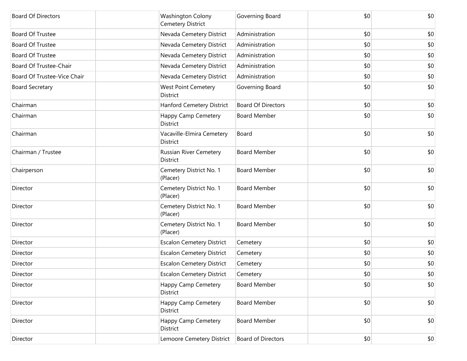| <b>Board Of Directors</b>   | <b>Washington Colony</b><br>Cemetery District    | Governing Board           | \$0 | \$0 |
|-----------------------------|--------------------------------------------------|---------------------------|-----|-----|
| <b>Board Of Trustee</b>     | Nevada Cemetery District                         | Administration            | \$0 | \$0 |
| <b>Board Of Trustee</b>     | Nevada Cemetery District                         | Administration            | \$0 | \$0 |
| Board Of Trustee            | Nevada Cemetery District                         | Administration            | \$0 | \$0 |
| Board Of Trustee-Chair      | Nevada Cemetery District                         | Administration            | \$0 | \$0 |
| Board Of Trustee-Vice Chair | Nevada Cemetery District                         | Administration            | \$0 | \$0 |
| <b>Board Secretary</b>      | <b>West Point Cemetery</b><br>District           | Governing Board           | \$0 | \$0 |
| Chairman                    | Hanford Cemetery District                        | <b>Board Of Directors</b> | \$0 | \$0 |
| Chairman                    | <b>Happy Camp Cemetery</b><br>District           | <b>Board Member</b>       | \$0 | \$0 |
| Chairman                    | Vacaville-Elmira Cemetery<br>District            | Board                     | \$0 | \$0 |
| Chairman / Trustee          | <b>Russian River Cemetery</b><br><b>District</b> | <b>Board Member</b>       | \$0 | \$0 |
| Chairperson                 | Cemetery District No. 1<br>(Placer)              | <b>Board Member</b>       | \$0 | \$0 |
| Director                    | Cemetery District No. 1<br>(Placer)              | <b>Board Member</b>       | \$0 | \$0 |
| Director                    | Cemetery District No. 1<br>(Placer)              | <b>Board Member</b>       | \$0 | \$0 |
| Director                    | Cemetery District No. 1<br>(Placer)              | <b>Board Member</b>       | \$0 | \$0 |
| Director                    | <b>Escalon Cemetery District</b>                 | Cemetery                  | \$0 | \$0 |
| Director                    | <b>Escalon Cemetery District</b>                 | Cemetery                  | \$0 | \$0 |
| Director                    | <b>Escalon Cemetery District</b>                 | Cemetery                  | \$0 | \$0 |
| Director                    | <b>Escalon Cemetery District</b>                 | Cemetery                  | \$0 | \$0 |
| Director                    | Happy Camp Cemetery<br>District                  | <b>Board Member</b>       | \$0 | \$0 |
| Director                    | <b>Happy Camp Cemetery</b><br>District           | <b>Board Member</b>       | \$0 | \$0 |
| Director                    | Happy Camp Cemetery<br>District                  | <b>Board Member</b>       | \$0 | \$0 |
| Director                    | Lemoore Cemetery District                        | <b>Board of Directors</b> | \$0 | \$0 |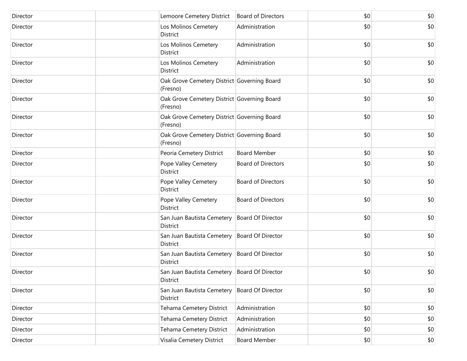| Director | Lemoore Cemetery District                                  | <b>Board of Directors</b> | \$0   | \$0 |
|----------|------------------------------------------------------------|---------------------------|-------|-----|
| Director | Los Molinos Cemetery<br>District                           | Administration            | \$0   | \$0 |
| Director | Los Molinos Cemetery<br>District                           | Administration            | \$0   | \$0 |
| Director | Los Molinos Cemetery<br>District                           | Administration            | \$0   | \$0 |
| Director | Oak Grove Cemetery District Governing Board<br>(Fresno)    |                           | \$0   | \$0 |
| Director | Oak Grove Cemetery District Governing Board<br>(Fresno)    |                           | \$0   | \$0 |
| Director | Oak Grove Cemetery District Governing Board<br>(Fresno)    |                           | \$0   | \$0 |
| Director | Oak Grove Cemetery District Governing Board<br>(Fresno)    |                           | \$0   | \$0 |
| Director | Peoria Cemetery District                                   | <b>Board Member</b>       | \$0   | \$0 |
| Director | Pope Valley Cemetery<br>District                           | <b>Board of Directors</b> | \$0   | \$0 |
| Director | Pope Valley Cemetery<br>District                           | <b>Board of Directors</b> | \$0   | \$0 |
| Director | Pope Valley Cemetery<br>District                           | <b>Board of Directors</b> | \$0   | \$0 |
| Director | San Juan Bautista Cemetery   Board Of Director<br>District |                           | \$0   | \$0 |
| Director | San Juan Bautista Cemetery   Board Of Director<br>District |                           | \$0   | \$0 |
| Director | San Juan Bautista Cemetery   Board Of Director<br>District |                           | \$0   | \$0 |
| Director | San Juan Bautista Cemetery   Board Of Director<br>District |                           | \$0   | \$0 |
| Director | San Juan Bautista Cemetery<br>District                     | <b>Board Of Director</b>  | \$0   | \$0 |
| Director | Tehama Cemetery District                                   | Administration            | \$0   | \$0 |
| Director | Tehama Cemetery District                                   | Administration            | \$0   | \$0 |
| Director | Tehama Cemetery District                                   | Administration            | \$0   | \$0 |
| Director | Visalia Cemetery District                                  | <b>Board Member</b>       | \$0\$ | \$0 |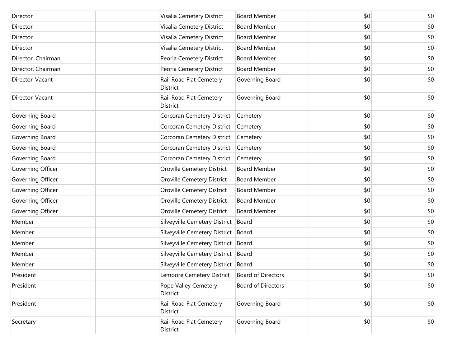| Director           | Visalia Cemetery District                      | <b>Board Member</b>       | \$0 | \$0   |
|--------------------|------------------------------------------------|---------------------------|-----|-------|
| Director           | Visalia Cemetery District                      | <b>Board Member</b>       | \$0 | \$0   |
| Director           | Visalia Cemetery District                      | <b>Board Member</b>       | \$0 | \$0   |
| Director           | Visalia Cemetery District                      | <b>Board Member</b>       | \$0 | \$0   |
| Director, Chairman | Peoria Cemetery District                       | <b>Board Member</b>       | \$0 | \$0   |
| Director, Chairman | Peoria Cemetery District                       | <b>Board Member</b>       | \$0 | \$0   |
| Director-Vacant    | Rail Road Flat Cemetery<br>District            | Governing Board           | \$0 | \$0   |
| Director-Vacant    | Rail Road Flat Cemetery<br>District            | Governing Board           | \$0 | \$0   |
| Governing Board    | Corcoran Cemetery District                     | Cemetery                  | \$0 | \$0   |
| Governing Board    | Corcoran Cemetery District                     | Cemetery                  | \$0 | \$0   |
| Governing Board    | Corcoran Cemetery District                     | Cemetery                  | \$0 | \$0   |
| Governing Board    | Corcoran Cemetery District                     | Cemetery                  | \$0 | \$0   |
| Governing Board    | Corcoran Cemetery District                     | Cemetery                  | \$0 | \$0   |
| Governing Officer  | Oroville Cemetery District                     | <b>Board Member</b>       | \$0 | \$0   |
| Governing Officer  | Oroville Cemetery District                     | <b>Board Member</b>       | \$0 | \$0   |
| Governing Officer  | Oroville Cemetery District                     | <b>Board Member</b>       | \$0 | \$0   |
| Governing Officer  | Oroville Cemetery District                     | <b>Board Member</b>       | \$0 | \$0   |
| Governing Officer  | Oroville Cemetery District                     | <b>Board Member</b>       | \$0 | \$0   |
| Member             | Silveyville Cemetery District                  | Board                     | \$0 | \$0   |
| Member             | Silveyville Cemetery District                  | Board                     | \$0 | \$0   |
| Member             | Silveyville Cemetery District                  | Board                     | \$0 | \$0   |
| Member             | Silveyville Cemetery District   Board          |                           | \$0 | \$0   |
| Member             | Silveyville Cemetery District Board            |                           | \$0 | \$0   |
| President          | Lemoore Cemetery District   Board of Directors |                           | \$0 | $$0$$ |
| President          | Pope Valley Cemetery<br>District               | <b>Board of Directors</b> | \$0 | \$0   |
| President          | Rail Road Flat Cemetery<br>District            | Governing Board           | \$0 | \$0   |
| Secretary          | Rail Road Flat Cemetery<br>District            | Governing Board           | \$0 | \$0   |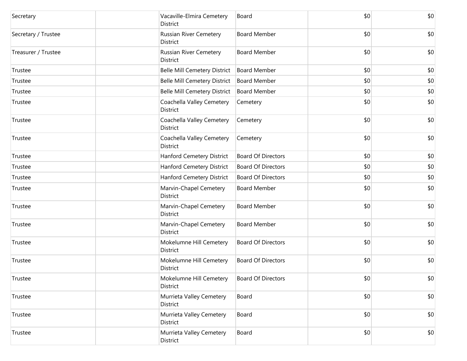| Secretary           | Vacaville-Elmira Cemetery<br>District        | Board                     | \$0 | \$0 |
|---------------------|----------------------------------------------|---------------------------|-----|-----|
| Secretary / Trustee | Russian River Cemetery<br>District           | <b>Board Member</b>       | \$0 | \$0 |
| Treasurer / Trustee | Russian River Cemetery<br>District           | <b>Board Member</b>       | \$0 | \$0 |
| Trustee             | <b>Belle Mill Cemetery District</b>          | <b>Board Member</b>       | \$0 | \$0 |
| Trustee             | <b>Belle Mill Cemetery District</b>          | <b>Board Member</b>       | \$0 | \$0 |
| Trustee             | <b>Belle Mill Cemetery District</b>          | <b>Board Member</b>       | \$0 | \$0 |
| Trustee             | Coachella Valley Cemetery<br>District        | Cemetery                  | \$0 | \$0 |
| Trustee             | Coachella Valley Cemetery<br>District        | Cemetery                  | \$0 | \$0 |
| Trustee             | Coachella Valley Cemetery<br><b>District</b> | Cemetery                  | \$0 | \$0 |
| Trustee             | Hanford Cemetery District                    | <b>Board Of Directors</b> | \$0 | \$0 |
| Trustee             | Hanford Cemetery District                    | <b>Board Of Directors</b> | \$0 | \$0 |
| Trustee             | Hanford Cemetery District                    | <b>Board Of Directors</b> | \$0 | \$0 |
| Trustee             | Marvin-Chapel Cemetery<br>District           | <b>Board Member</b>       | \$0 | \$0 |
| Trustee             | Marvin-Chapel Cemetery<br>District           | <b>Board Member</b>       | \$0 | \$0 |
| Trustee             | Marvin-Chapel Cemetery<br>District           | <b>Board Member</b>       | \$0 | \$0 |
| Trustee             | Mokelumne Hill Cemetery<br>District          | <b>Board Of Directors</b> | \$0 | \$0 |
| Trustee             | Mokelumne Hill Cemetery<br>District          | <b>Board Of Directors</b> | \$0 | \$0 |
| Trustee             | Mokelumne Hill Cemetery<br>District          | <b>Board Of Directors</b> | \$0 | \$0 |
| Trustee             | Murrieta Valley Cemetery<br>District         | Board                     | \$0 | \$0 |
| Trustee             | Murrieta Valley Cemetery<br>District         | Board                     | \$0 | \$0 |
| Trustee             | Murrieta Valley Cemetery<br>District         | Board                     | \$0 | \$0 |